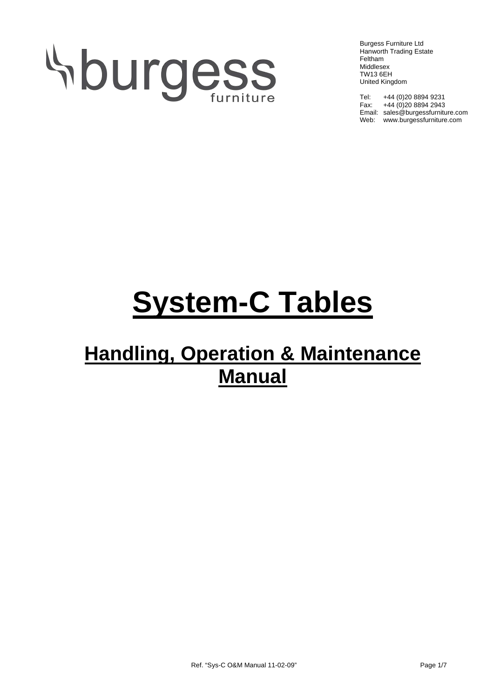# Aburgess

Burgess Furniture Ltd Hanworth Trading Estate Feltham Middlesex TW13 6EH United Kingdom

Tel: +44 (0)20 8894 9231 Fax: +44 (0)20 8894 2943 Email: sales@burgessfurniture.com Web: www.burgessfurniture.com

## **System-C Tables**

### **Handling, Operation & Maintenance Manual**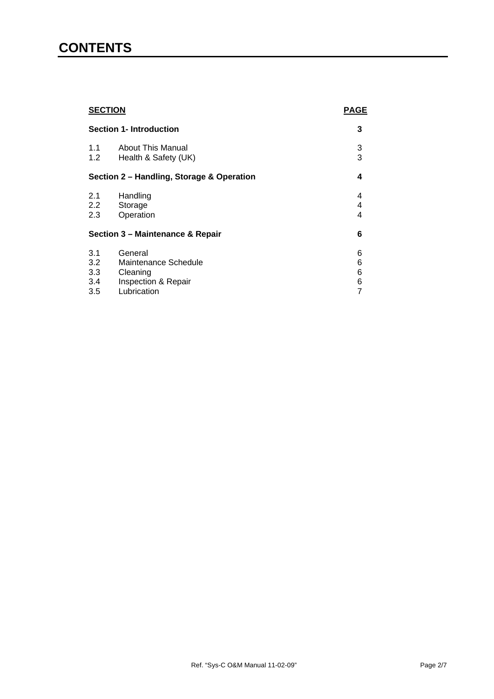#### **CONTENTS**

| <b>SECTION</b><br><b>Section 1- Introduction</b> |                          | <b>PAGE</b> |
|--------------------------------------------------|--------------------------|-------------|
|                                                  |                          | 3           |
| 1.1                                              | <b>About This Manual</b> | 3           |
| 1.2                                              | Health & Safety (UK)     | 3           |
| Section 2 - Handling, Storage & Operation        |                          | 4           |
| 2.1                                              | Handling                 | 4           |
| $2.2^{\circ}$                                    | Storage                  | 4           |
| 2.3                                              | Operation                | 4           |
| Section 3 - Maintenance & Repair                 |                          | 6           |
| 3.1                                              | General                  | 6           |
| 3.2                                              | Maintenance Schedule     | 6           |
| 3.3                                              | Cleaning                 | 6           |
| 3.4                                              | Inspection & Repair      | 6           |
| 3.5                                              | Lubrication              | 7           |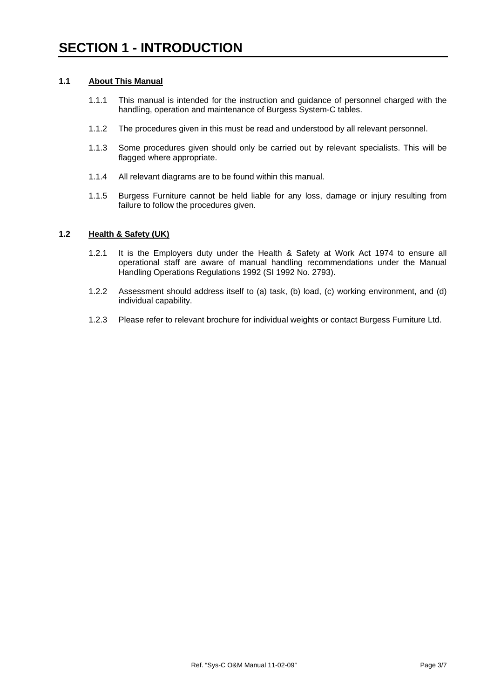#### **1.1 About This Manual**

- 1.1.1 This manual is intended for the instruction and guidance of personnel charged with the handling, operation and maintenance of Burgess System-C tables.
- 1.1.2 The procedures given in this must be read and understood by all relevant personnel.
- 1.1.3 Some procedures given should only be carried out by relevant specialists. This will be flagged where appropriate.
- 1.1.4 All relevant diagrams are to be found within this manual.
- 1.1.5 Burgess Furniture cannot be held liable for any loss, damage or injury resulting from failure to follow the procedures given.

#### **1.2 Health & Safety (UK)**

- 1.2.1 It is the Employers duty under the Health & Safety at Work Act 1974 to ensure all operational staff are aware of manual handling recommendations under the Manual Handling Operations Regulations 1992 (SI 1992 No. 2793).
- 1.2.2 Assessment should address itself to (a) task, (b) load, (c) working environment, and (d) individual capability.
- 1.2.3 Please refer to relevant brochure for individual weights or contact Burgess Furniture Ltd.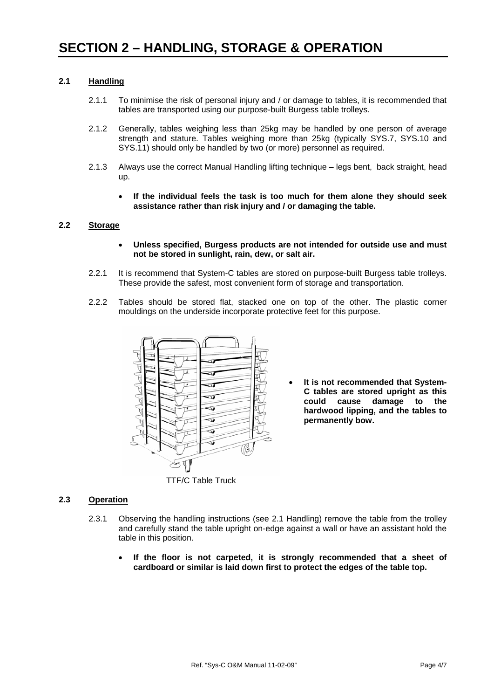#### **2.1 Handling**

- 2.1.1 To minimise the risk of personal injury and / or damage to tables, it is recommended that tables are transported using our purpose-built Burgess table trolleys.
- 2.1.2 Generally, tables weighing less than 25kg may be handled by one person of average strength and stature. Tables weighing more than 25kg (typically SYS.7, SYS.10 and SYS.11) should only be handled by two (or more) personnel as required.
- 2.1.3 Always use the correct Manual Handling lifting technique legs bent, back straight, head up.
	- **If the individual feels the task is too much for them alone they should seek assistance rather than risk injury and / or damaging the table.**

#### **2.2 Storage**

- **Unless specified, Burgess products are not intended for outside use and must not be stored in sunlight, rain, dew, or salt air.**
- 2.2.1 It is recommend that System-C tables are stored on purpose-built Burgess table trolleys. These provide the safest, most convenient form of storage and transportation.
- 2.2.2 Tables should be stored flat, stacked one on top of the other. The plastic corner mouldings on the underside incorporate protective feet for this purpose.



It is not recommended that System-**C tables are stored upright as this could cause damage to the hardwood lipping, and the tables to permanently bow.**

#### **2.3 Operation**

- 2.3.1 Observing the handling instructions (see 2.1 Handling) remove the table from the trolley and carefully stand the table upright on-edge against a wall or have an assistant hold the table in this position.
	- **If the floor is not carpeted, it is strongly recommended that a sheet of cardboard or similar is laid down first to protect the edges of the table top.**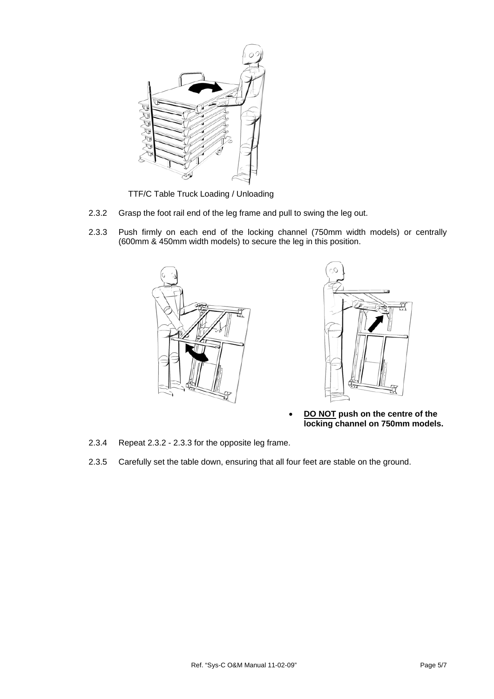

TTF/C Table Truck Loading / Unloading

- 2.3.2 Grasp the foot rail end of the leg frame and pull to swing the leg out.
- 2.3.3 Push firmly on each end of the locking channel (750mm width models) or centrally (600mm & 450mm width models) to secure the leg in this position.





- **DO NOT push on the centre of the locking channel on 750mm models.**
- 2.3.4 Repeat 2.3.2 2.3.3 for the opposite leg frame.
- 2.3.5 Carefully set the table down, ensuring that all four feet are stable on the ground.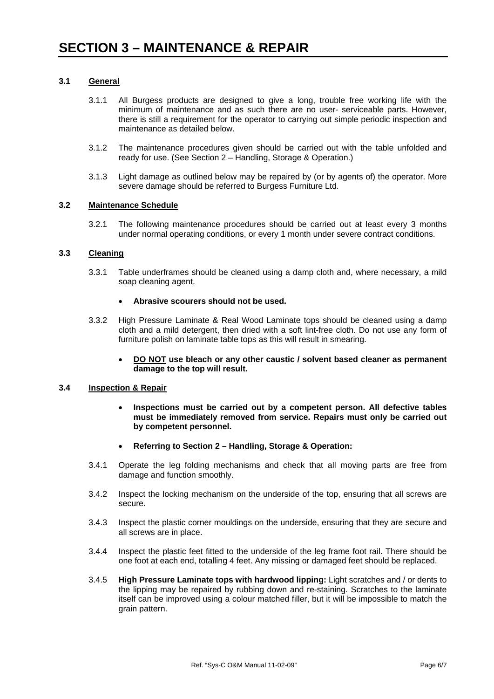#### **3.1 General**

- 3.1.1 All Burgess products are designed to give a long, trouble free working life with the minimum of maintenance and as such there are no user- serviceable parts. However, there is still a requirement for the operator to carrying out simple periodic inspection and maintenance as detailed below.
- 3.1.2 The maintenance procedures given should be carried out with the table unfolded and ready for use. (See Section 2 – Handling, Storage & Operation.)
- 3.1.3 Light damage as outlined below may be repaired by (or by agents of) the operator. More severe damage should be referred to Burgess Furniture Ltd.

#### **3.2 Maintenance Schedule**

3.2.1 The following maintenance procedures should be carried out at least every 3 months under normal operating conditions, or every 1 month under severe contract conditions.

#### **3.3 Cleaning**

3.3.1 Table underframes should be cleaned using a damp cloth and, where necessary, a mild soap cleaning agent.

#### • **Abrasive scourers should not be used.**

- 3.3.2 High Pressure Laminate & Real Wood Laminate tops should be cleaned using a damp cloth and a mild detergent, then dried with a soft lint-free cloth. Do not use any form of furniture polish on laminate table tops as this will result in smearing.
	- **DO NOT use bleach or any other caustic / solvent based cleaner as permanent damage to the top will result.**

#### **3.4 Inspection & Repair**

- **Inspections must be carried out by a competent person. All defective tables must be immediately removed from service. Repairs must only be carried out by competent personnel.**
- **Referring to Section 2 Handling, Storage & Operation:**
- 3.4.1 Operate the leg folding mechanisms and check that all moving parts are free from damage and function smoothly.
- 3.4.2 Inspect the locking mechanism on the underside of the top, ensuring that all screws are secure.
- 3.4.3 Inspect the plastic corner mouldings on the underside, ensuring that they are secure and all screws are in place.
- 3.4.4 Inspect the plastic feet fitted to the underside of the leg frame foot rail. There should be one foot at each end, totalling 4 feet. Any missing or damaged feet should be replaced.
- 3.4.5 **High Pressure Laminate tops with hardwood lipping:** Light scratches and / or dents to the lipping may be repaired by rubbing down and re-staining. Scratches to the laminate itself can be improved using a colour matched filler, but it will be impossible to match the grain pattern.